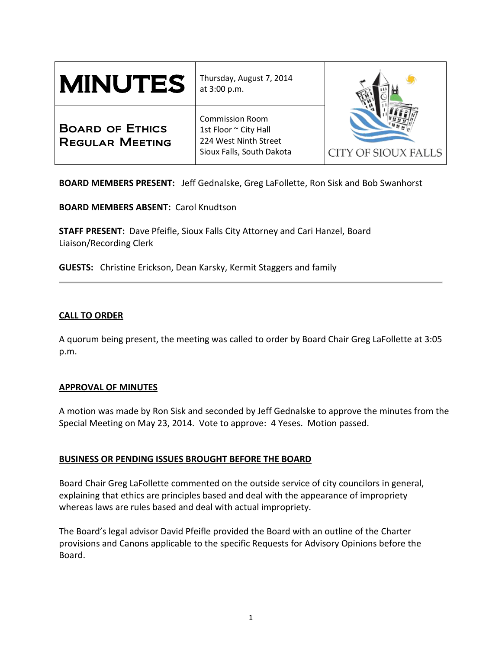| <b>MINUTES</b>                                   | Thursday, August 7, 2014<br>at 3:00 p.m.                                                              | <b>CITY OF SIOUX FALLS</b> |
|--------------------------------------------------|-------------------------------------------------------------------------------------------------------|----------------------------|
| <b>BOARD OF ETHICS</b><br><b>REGULAR MEETING</b> | <b>Commission Room</b><br>1st Floor ~ City Hall<br>224 West Ninth Street<br>Sioux Falls, South Dakota |                            |

**BOARD MEMBERS PRESENT:** Jeff Gednalske, Greg LaFollette, Ron Sisk and Bob Swanhorst

**BOARD MEMBERS ABSENT:** Carol Knudtson

**STAFF PRESENT:** Dave Pfeifle, Sioux Falls City Attorney and Cari Hanzel, Board Liaison/Recording Clerk

**GUESTS:** Christine Erickson, Dean Karsky, Kermit Staggers and family

## **CALL TO ORDER**

A quorum being present, the meeting was called to order by Board Chair Greg LaFollette at 3:05 p.m.

### **APPROVAL OF MINUTES**

A motion was made by Ron Sisk and seconded by Jeff Gednalske to approve the minutes from the Special Meeting on May 23, 2014. Vote to approve: 4 Yeses. Motion passed.

## **BUSINESS OR PENDING ISSUES BROUGHT BEFORE THE BOARD**

Board Chair Greg LaFollette commented on the outside service of city councilors in general, explaining that ethics are principles based and deal with the appearance of impropriety whereas laws are rules based and deal with actual impropriety.

The Board's legal advisor David Pfeifle provided the Board with an outline of the Charter provisions and Canons applicable to the specific Requests for Advisory Opinions before the Board.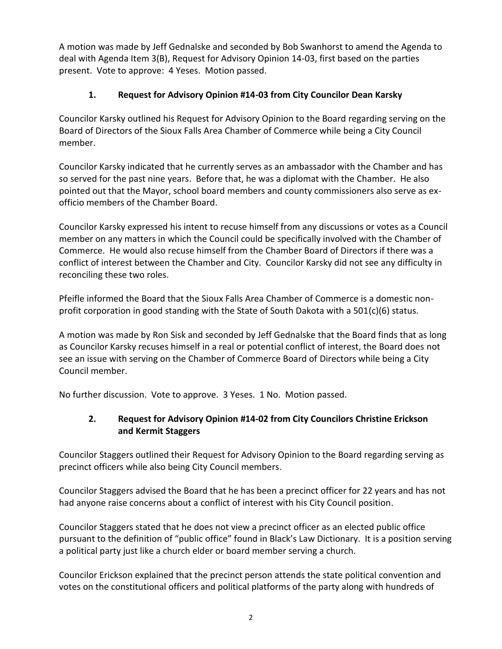A motion was made by Jeff Gednalske and seconded by Bob Swanhorst to amend the Agenda to deal with Agenda Item 3(B), Request for Advisory Opinion 14-03, first based on the parties present. Vote to approve: 4 Yeses. Motion passed.

# **1. Request for Advisory Opinion #14-03 from City Councilor Dean Karsky**

Councilor Karsky outlined his Request for Advisory Opinion to the Board regarding serving on the Board of Directors of the Sioux Falls Area Chamber of Commerce while being a City Council member.

Councilor Karsky indicated that he currently serves as an ambassador with the Chamber and has so served for the past nine years. Before that, he was a diplomat with the Chamber. He also pointed out that the Mayor, school board members and county commissioners also serve as exofficio members of the Chamber Board.

Councilor Karsky expressed his intent to recuse himself from any discussions or votes as a Council member on any matters in which the Council could be specifically involved with the Chamber of Commerce. He would also recuse himself from the Chamber Board of Directors if there was a conflict of interest between the Chamber and City. Councilor Karsky did not see any difficulty in reconciling these two roles.

Pfeifle informed the Board that the Sioux Falls Area Chamber of Commerce is a domestic nonprofit corporation in good standing with the State of South Dakota with a 501(c)(6) status.

A motion was made by Ron Sisk and seconded by Jeff Gednalske that the Board finds that as long as Councilor Karsky recuses himself in a real or potential conflict of interest, the Board does not see an issue with serving on the Chamber of Commerce Board of Directors while being a City Council member.

No further discussion. Vote to approve. 3 Yeses. 1 No. Motion passed.

## **2. Request for Advisory Opinion #14-02 from City Councilors Christine Erickson and Kermit Staggers**

Councilor Staggers outlined their Request for Advisory Opinion to the Board regarding serving as precinct officers while also being City Council members.

Councilor Staggers advised the Board that he has been a precinct officer for 22 years and has not had anyone raise concerns about a conflict of interest with his City Council position.

Councilor Staggers stated that he does not view a precinct officer as an elected public office pursuant to the definition of "public office" found in Black's Law Dictionary. It is a position serving a political party just like a church elder or board member serving a church.

Councilor Erickson explained that the precinct person attends the state political convention and votes on the constitutional officers and political platforms of the party along with hundreds of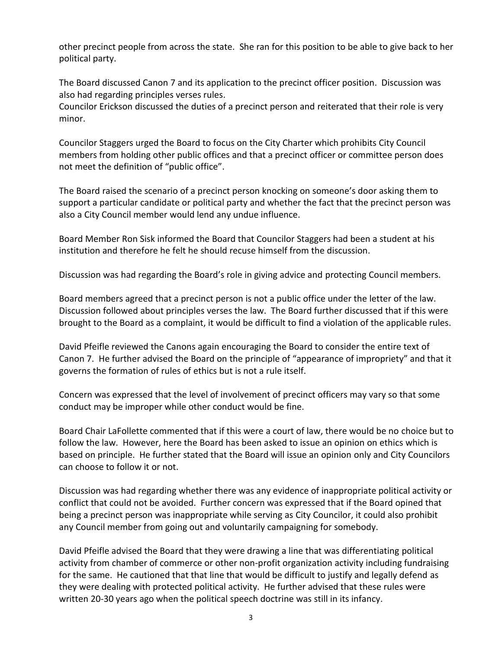other precinct people from across the state. She ran for this position to be able to give back to her political party.

The Board discussed Canon 7 and its application to the precinct officer position. Discussion was also had regarding principles verses rules.

Councilor Erickson discussed the duties of a precinct person and reiterated that their role is very minor.

Councilor Staggers urged the Board to focus on the City Charter which prohibits City Council members from holding other public offices and that a precinct officer or committee person does not meet the definition of "public office".

The Board raised the scenario of a precinct person knocking on someone's door asking them to support a particular candidate or political party and whether the fact that the precinct person was also a City Council member would lend any undue influence.

Board Member Ron Sisk informed the Board that Councilor Staggers had been a student at his institution and therefore he felt he should recuse himself from the discussion.

Discussion was had regarding the Board's role in giving advice and protecting Council members.

Board members agreed that a precinct person is not a public office under the letter of the law. Discussion followed about principles verses the law. The Board further discussed that if this were brought to the Board as a complaint, it would be difficult to find a violation of the applicable rules.

David Pfeifle reviewed the Canons again encouraging the Board to consider the entire text of Canon 7. He further advised the Board on the principle of "appearance of impropriety" and that it governs the formation of rules of ethics but is not a rule itself.

Concern was expressed that the level of involvement of precinct officers may vary so that some conduct may be improper while other conduct would be fine.

Board Chair LaFollette commented that if this were a court of law, there would be no choice but to follow the law. However, here the Board has been asked to issue an opinion on ethics which is based on principle. He further stated that the Board will issue an opinion only and City Councilors can choose to follow it or not.

Discussion was had regarding whether there was any evidence of inappropriate political activity or conflict that could not be avoided. Further concern was expressed that if the Board opined that being a precinct person was inappropriate while serving as City Councilor, it could also prohibit any Council member from going out and voluntarily campaigning for somebody.

David Pfeifle advised the Board that they were drawing a line that was differentiating political activity from chamber of commerce or other non-profit organization activity including fundraising for the same. He cautioned that that line that would be difficult to justify and legally defend as they were dealing with protected political activity. He further advised that these rules were written 20-30 years ago when the political speech doctrine was still in its infancy.